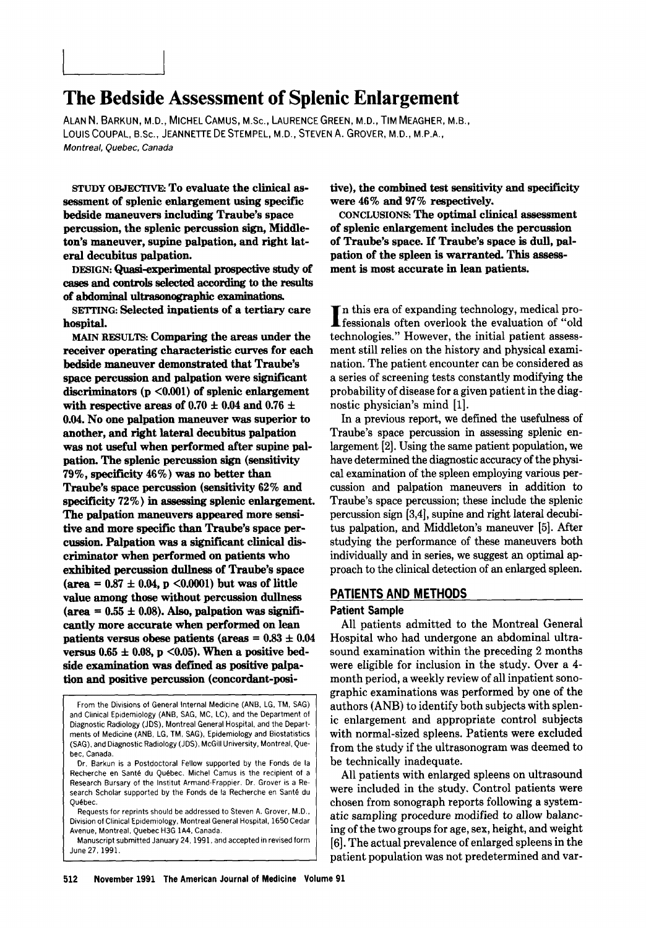# **The Bedside Assessment of Splenic Enlargement**

ALAN N. BARKUN, M.D., MICHEL CAMUS, M.Sc., LAURENCE GREEN, M.D., TIM MEAGHER, M.B., LOUIS COUPAL, B.Sc., JEANNETTE DE STEMPEL, M.D., STEVEN A. GROVER, M.D., M.P.A., *Montreal, Quebec, Canada* 

STUDY OBJECTIVE: To evaluate the clinical assessment **of splenic enlargement** using specific **bedside maneuvers including Traube's space percussion, the splenic percussion sign, Middle**ton's maneuver, supine palpation, and right lat**eral decubitus palpation.** 

*I* 

DESIGN: Quasi-experimental prospective study of cases **and controls** selected according to the results **of abdominal ultrasonographic examinations.** 

SETTING: Selected inpatients of a tertiary **care**  hospital.

MAIN RESULTS: Comparing the areas under the receiver operating characteristic curves **for each**  bedside **maneuver demonstrated** that Traube's **space percussion and palpation were** significant discriminators ( $p \leq 0.001$ ) of splenic enlargement with respective areas of  $0.70 \pm 0.04$  and  $0.76 \pm 0.04$ **0.04. No one palpation maneuver was superior to another, and** right lateral **decubitus palpation**  was not useful when performed after supine palpation. **The splenic** percussion sign (sensitivity 79%, specificity 46%) was no better than Traube's space percussion (sensitivity 62% and **specificity** 72%) in assessing splenic enlargement. The **palpation maneuvers appeared more** sensitive **and more** specific than Traube's space percussion. Palpation was a significant clinical discriminator **when performed on patients who**  exhibited percussion dullness of Traube's **space**   $(\text{area} = 0.87 \pm 0.04, p \leq 0.0001)$  but was of little value among **those without** percussion dullness  $(\text{area} = 0.55 \pm 0.08)$ . Also, palpation was signifi**cantly more accurate when performed on lean patients versus obese patients (areas = 0.83 ± 0.04**  versus  $0.65 \pm 0.08$ , p <0.05). When a positive bedside examination was defined as positive palpa**tion and positive percussion (concordant-posi-**

Requests for reprints should be addressed to Steven A. Grover, M.D., Division of Clinical Epidemiology, Montreal General Hospital, 1650 Cedar Avenue, Montreal, Quebec H3G 1A4, Canada.

Manuscript submitted January 24, 1991, and accepted in revised form June 27, 1991.

**tive), the combined test sensitivity and specificity were 46 % and 97% respectively.** 

**CONCLUSIONS: The optimal clinical assessment of splenic enlargement includes the percussion of Traube's space. If Traube's space is dull, palpation of the spleen is warranted. This assessment is most accurate in lean patients.** 

In this era of expanding technology, medical pro-<br> **I** fessionals often overlook the evaluation of "old" technologies." However, the initial patient assessment still relies on the history and physical examination. The patient encounter can be considered as a series of screening tests constantly modifying the probability of disease for a given patient in the diagnostic physician's mind [1].

In a previous report, we defined the usefulness of Traube's space percussion in assessing splenic enlargement [2]. Using the same patient population, we have determined the diagnostic accuracy of the physical examination of the spleen employing various percussion and palpation maneuvers in addition to Traube's space percussion; these include the splenic percussion sign [3,4], supine and right lateral decubitus palpation, and Middleton's maneuver [5]. After studying the performance of these maneuvers both individually and in series, we suggest an optimal approach to the clinical detection of an enlarged spleen.

### **PATIENTS AND METHODS**

#### **Patient Sample**

All patients admitted to the Montreal General Hospital who had undergone an abdominal ultrasound examination within the preceding 2 months were eligible for inclusion in the study. Over a 4 month period, a weekly review of all inpatient sonographic examinations was performed by one of the authors (ANB) to identify both subjects with splenic enlargement and appropriate control subjects with normal-sized spleens. Patients were excluded from the study if the ultrasonogram was deemed to be technically inadequate.

All patients with enlarged spleens on ultrasound were included in the study. Control patients were chosen from sonograph reports following a systematic sampling procedure modified to allow balancing of the two groups for age, sex, height, and weight [6]. The actual prevalence of enlarged spleens in the patient population was not predetermined and var-

From the Divisions of General Internal Medicine (ANB, LG, TM, SAG) and Clinical Epidemiology (ANB, SAG, MC, LC), and the Department of Diagnostic Radiology (JDS), Montreal General Hospital, and the Departments of Medicine (ANB, LG, TM, SAG), Epidemiology and Biostatistics (SAG), and Diagnostic Radiology (JDS), McGill University, Montreal, Quebec, Canada.

Dr. Barkun is a Postdoctoral Fellow supported by the Fonds de la Recherche en Santé du Québec. Michel Camus is the recipient of a Research Bursary of the Institut Armand-Frappier. Dr. Grover is a Research Scholar supported by the Fonds de la Recherche en Santé du Quebec.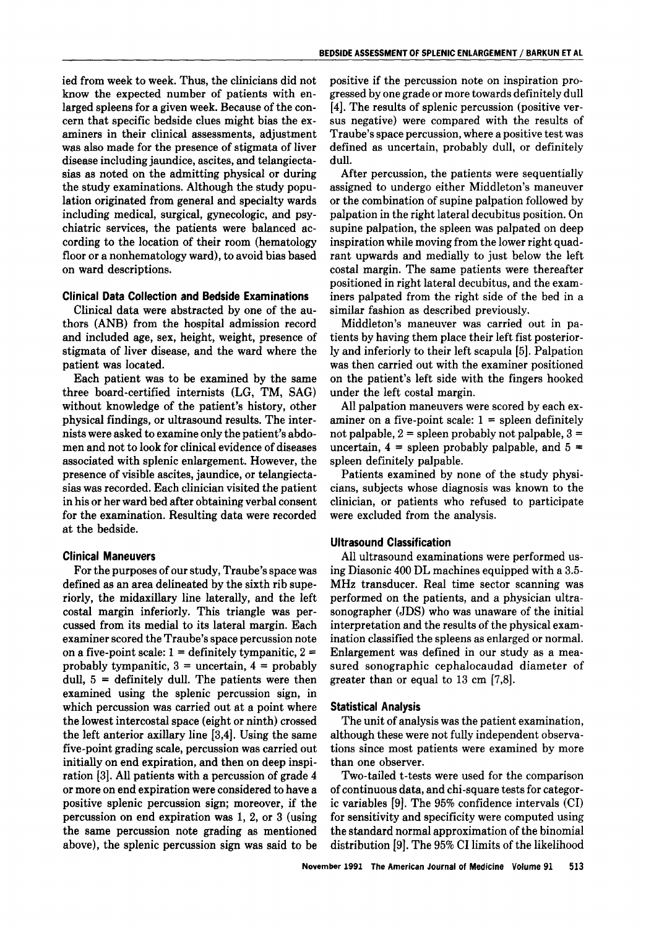ied from week to week. Thus, the clinicians did not know the expected number of patients with enlarged spleens for a given week. Because of the concern that specific bedside clues might bias the examiners in their clinical assessments, adjustment was also made for the presence of stigmata of liver disease including jaundice, ascites, and telangiectasias as noted on the admitting physical or during the study examinations. Although the study population originated from general and specialty wards including medical, surgical, gynecologic, and psychiatric services, the patients were balanced according to the location of their room (hematology floor or a nonhematology ward), to avoid bias based on ward descriptions.

# **Clinical Data Collection and Bedside Examinations**

Clinical data were abstracted by one of the authors (ANB) from the hospital admission record and included age, sex, height, weight, presence of stigmata of liver disease, and the ward where the patient was located.

Each patient was to be examined by the same three board-certified internists (LG, TM, SAG) without knowledge of the patient's history, other physical findings, or ultrasound results. The internists were asked to examine only the patient's abdomen and not to look for clinical evidence of diseases associated with splenic enlargement. However, the presence of visible ascites, jaundice, or telangiectasias was recorded. Each clinician visited the patient in his or her ward bed after obtaining verbal consent for the examination. Resulting data were recorded at the bedside.

# **Clinical Maneuvers**

For the purposes of our study, Traube's space was defined as an area delineated by the sixth rib superiorly, the midaxillary line laterally, and the left costal margin inferiorly. This triangle was percussed from its medial to its lateral margin. Each examiner scored the Traube's space percussion note on a five-point scale:  $1 =$  definitely tympanitic,  $2 =$ probably tympanitic,  $3 =$  uncertain,  $4 =$  probably dull,  $5 =$  definitely dull. The patients were then examined using the splenic percussion sign, in which percussion was carried out at a point where the lowest intercostal space (eight or ninth) crossed the left anterior axillary line [3,4]. Using the same five-point grading scale, percussion was carried out initially on end expiration, and then on deep inspiration [3]. All patients with a percussion of grade 4 or more on end expiration were considered to have a positive splenic percussion sign; moreover, if the percussion on end expiration was 1, 2, or 3 (using the same percussion note grading as mentioned above), the splenic percussion sign was said to be

positive if the percussion note on inspiration progressed by one grade or more towards definitely dull [4]. The results of splenic percussion (positive versus negative) were compared with the results of Traube's space percussion, where a positive test was defined as uncertain, probably dull, or definitely dull.

After percussion, the patients were sequentially assigned to undergo either Middleton's maneuver or the combination of supine palpation followed by palpation in the right lateral decubitus position. On supine palpation, the spleen was palpated on deep inspiration while moving from the lower right quadrant upwards and medially to just below the left costal margin. The same patients were thereafter positioned in right lateral decubitus, and the examiners palpated from the right side of the bed in a similar fashion as described previously.

Middleton's maneuver was carried out in patients by having them place their left fist posteriorly and inferiorly to their left scapula [5]. Palpation was then carried out with the examiner positioned on the patient's left side with the fingers hooked under the left costal margin.

All palpation maneuvers were scored by each examiner on a five-point scale:  $1 =$  spleen definitely not palpable,  $2 =$  spleen probably not palpable,  $3 =$ uncertain,  $4 =$  spleen probably palpable, and  $5 =$ spleen definitely palpable.

Patients examined by none of the study physicians, subjects whose diagnosis was known to the clinician, or patients who refused to participate were excluded from the analysis.

#### **Ultrasound Classification**

All ultrasound examinations were performed using Diasonic 400 DL machines equipped with a 3.5- MHz transducer. Real time sector scanning was performed on the patients, and a physician ultrasonographer (JDS) who was unaware of the initial interpretation and the results of the physical examination classified the spleens as enlarged or normal. Enlargement was defined in our study as a measured sonographic cephalocaudad diameter of greater than or equal to 13 cm [7,8].

### **Statistical Analysis**

The unit of analysis was the patient examination, although these were not fully independent observations since most patients were examined by more than one observer.

Two-tailed t-tests were used for the comparison of continuous data, and chi-square tests for categoric variables [9]. The 95% confidence intervals (CI) for sensitivity and specificity were computed using the standard normal approximation of the binomial distribution [9]. The 95% CI limits of the likelihood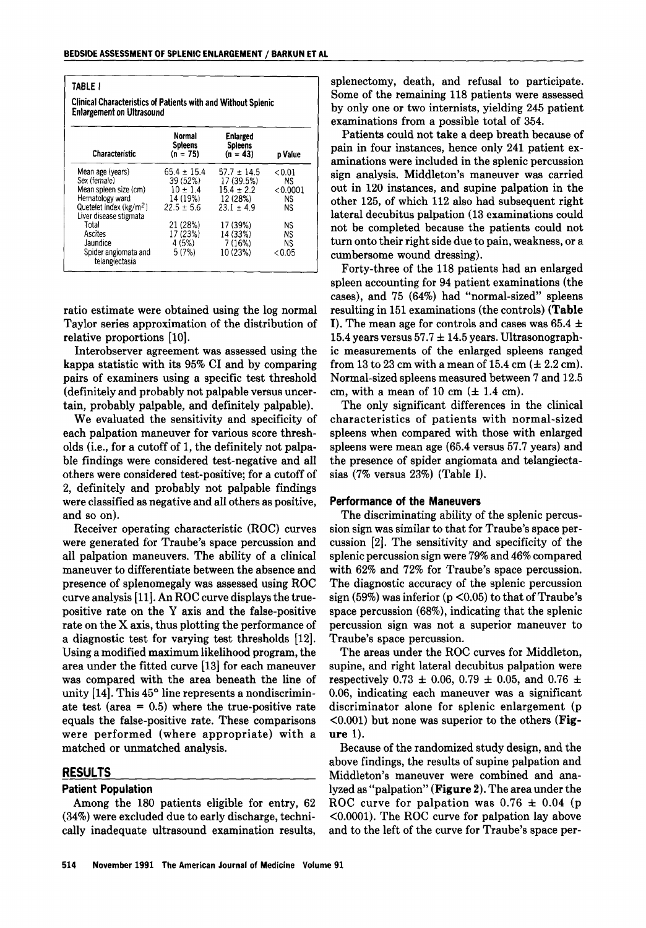**Clinical Characteristics of Patients with and Without Splenic** 

TABLE I

| <b>Characteristic</b>                              | Normal<br><b>Spleens</b><br>$(n = 75)$ | <b>Enlarged</b><br><b>Spleens</b><br>$(n = 43)$ | p Value   |
|----------------------------------------------------|----------------------------------------|-------------------------------------------------|-----------|
| Mean age (years)                                   | $65.4 \pm 15.4$                        | $57.7 \pm 14.5$                                 | < 0.01    |
| Sex (female)                                       | 39 (52%)                               | 17 (39.5%)                                      | ΝS        |
| Mean spleen size (cm)                              | $10 + 1.4$                             | $15.4 \pm 2.2$                                  | < 0.0001  |
| Hematology ward                                    | 14 (19%)                               | 12 (28%)                                        | ΝS        |
| Quetelet index $(kg/m2)$<br>Liver disease stigmata | $22.5 \pm 5.6$                         | $23.1 \pm 4.9$                                  | ΝS        |
| Total                                              | 21 (28%)                               | 17 (39%)                                        | ΝS        |
| Ascites                                            | 17 (23%)                               | 14 (33%)                                        | ΝS        |
| Jaundice                                           | 4 (5%)                                 | 7(16%)                                          | <b>NS</b> |
| Spider angiomata and<br>telangiectasia             | 5 (7%)                                 | 10 (23%)                                        | < 0.05    |

ratio estimate were obtained using the log normal Taylor series approximation of the distribution of relative proportions [10].

Interobserver agreement was assessed using the kappa statistic with its 95% CI and by comparing pairs of examiners using a specific test threshold (definitely and probably not palpable versus uncertain, probably palpable, and definitely palpable).

We evaluated the sensitivity and specificity of each palpation maneuver for various score thresholds (i.e., for a cutoff of 1, the definitely not palpable findings were considered test-negative and all others were considered test-positive; for a cutoff of 2, definitely and probably not palpable findings were classified as negative and all others as positive, and so on).

Receiver operating characteristic (ROC) curves were generated for Traube's space percussion and all palpation maneuvers. The ability of a clinical maneuver to differentiate between the absence and presence of splenomegaly was assessed using ROC curve analysis [11]. An ROC curve displays the truepositive rate on the Y axis and the false-positive rate on the X axis, thus plotting the performance of a diagnostic test for varying test thresholds [12]. Using a modified maximum likelihood program, the area under the fitted curve [13] for each maneuver was compared with the area beneath the line of unity  $[14]$ . This  $45^{\circ}$  line represents a nondiscriminate test (area =  $0.5$ ) where the true-positive rate equals the false-positive rate. These comparisons were performed (where appropriate) with a matched or unmatched analysis.

### **RESULTS**

# **Patient Population**

Among the 180 patients eligible for entry, 62 (34%) were excluded due to early discharge, technically inadequate ultrasound examination results,

splenectomy, death, and refusal to participate. Some of the remaining 118 patients were assessed by only one or two internists, yielding 245 patient examinations from a possible total of 354.

Patients could not take a deep breath because of pain in four instances, hence only 241 patient examinations were included in the splenic percussion sign analysis. Middleton's maneuver was carried out in 120 instances, and supine palpation in the other 125, of which 112 also had subsequent right lateral decubitus palpation (13 examinations could not be completed because the patients could not turn onto their right side due to pain, weakness, or a cumbersome wound dressing).

Forty-three of the 118 patients had an enlarged spleen accounting for 94 patient examinations (the cases), and 75 (64%) had "normal-sized" spleens resulting in 151 examinations (the controls) **(Table**  I). The mean age for controls and cases was 65.4  $\pm$ 15.4 years versus  $57.7 \pm 14.5$  years. Ultrasonographic measurements of the enlarged spleens ranged from 13 to 23 cm with a mean of  $15.4$  cm  $(\pm 2.2$  cm). Normal-sized spleens measured between 7 and 12.5 cm, with a mean of 10 cm  $(\pm 1.4 \text{ cm})$ .

The only significant differences in the clinical characteristics of patients with normal-sized spleens when compared with those with enlarged spleens were mean age {65.4 versus 57.7 years) and the presence of spider angiomata and telangiectasias (7% versus 23%) (Table I).

## **Performance of the Maneuvers**

The discriminating ability of the splenic percussion sign was similar to that for Traube's space percussion [2]. The sensitivity and specificity of the splenic percussion sign were 79% and 46% compared with 62% and 72% for Traube's space percussion. The diagnostic accuracy of the splenic percussion sign  $(59\%)$  was inferior (p < 0.05) to that of Traube's space percussion (68%), indicating that the splenic percussion sign was not a superior maneuver to Traube's space percussion.

The areas under the ROC curves for Middleton, supine, and right lateral decubitus palpation were respectively 0.73  $\pm$  0.06, 0.79  $\pm$  0.05, and 0.76  $\pm$ 0.06, indicating each maneuver was a significant discriminator alone for splenic enlargement (p <0.001) but none was superior to the others **(Figure** 1).

Because of the randomized study design, and the above findings, the results of supine palpation and Middleton's maneuver were combined and analyzed as "palpation" (Figure 2). The area under the ROC curve for palpation was  $0.76 \pm 0.04$  (p <0.0001). The ROC curve for palpation lay above and to the left of the curve for Traube's space per-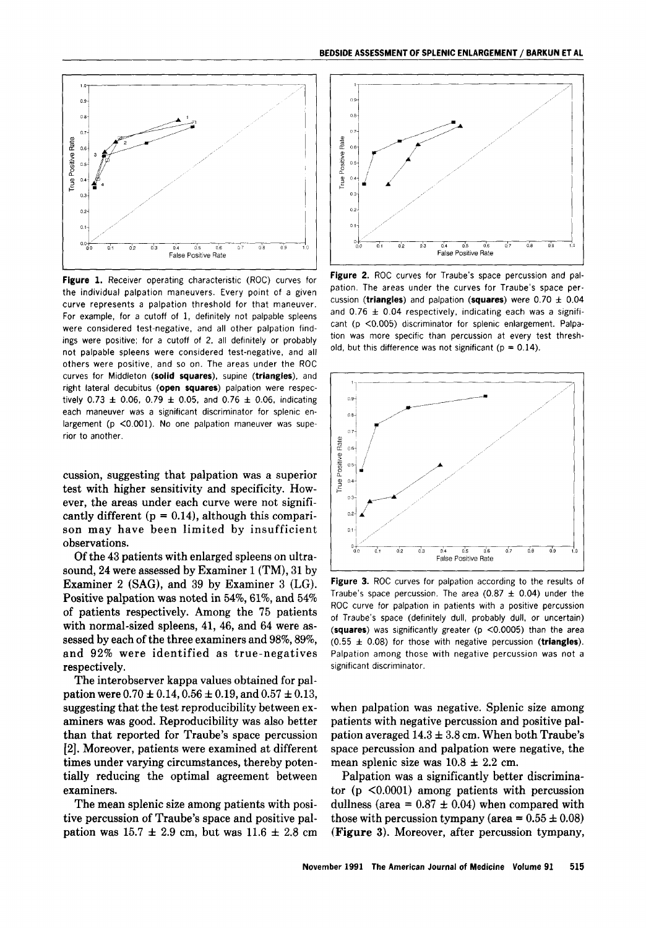

Figure 1. Receiver operating characteristic (ROC) curves for the individual palpation maneuvers. Every point of a given curve represents a palpation threshold for that maneuver. For example, for a cutoff of 1, definitely not palpable spleens were considered test-negative, and all other palpation findings were positive; for a cutoff of 2, all definitely or probably not palpable spleens were considered test-negative, and all others were positive, and so on. The areas under the ROC curves for Middleton (solid squares), supine (triangles), and right lateral decubitus **(open squares)** palpation were respectively 0.73  $\pm$  0.06, 0.79  $\pm$  0.05, and 0.76  $\pm$  0.06, indicating each maneuver was a significant discriminator for splenic enlargement (p <0.001). No one palpation maneuver was superior to another.

cussion, suggesting that palpation was a superior test with higher sensitivity and specificity. However, the areas under each curve were not significantly different  $(p = 0.14)$ , although this comparison may have been limited by insufficient observations.

Of the 43 patients with enlarged spleens on ultrasound, 24 were assessed by Examiner 1 (TM), 31 by Examiner 2 (SAG), and 39 by Examiner 3 (LG). Positive palpation was noted in 54%, 61%, and 54% of patients respectively. Among the 75 patients with normal-sized spleens, 41, 46, and 64 were assessed by each of the three examiners and 98%, 89%, and 92% were identified as true-negatives respectively.

The interobserver kappa values obtained for palpation were  $0.70 \pm 0.14$ ,  $0.56 \pm 0.19$ , and  $0.57 \pm 0.13$ , suggesting that the test reproducibility between examiners was good. Reproducibility was also better than that reported for Traube's space percussion [2]. Moreover, patients were examined at different times under varying circumstances, thereby potentially reducing the optimal agreement between examiners.

The mean splenic size among patients with positive percussion of Traube's space and positive palpation was  $15.7 \pm 2.9$  cm, but was  $11.6 \pm 2.8$  cm



Figure 2. ROC curves for Traube's space percussion and palpation. The areas under the curves for Traube's space percussion (triangles) and palpation (squares) were  $0.70 \pm 0.04$ and  $0.76 \pm 0.04$  respectively, indicating each was a significant (p <0.005) discriminator for splenic enlargement. Palpation was more specific than percussion at every test threshold, but this difference was not significant ( $p = 0.14$ ).



Figure 3. ROC curves for palpation according to the results of Traube's space percussion. The area (0.87  $\pm$  0.04) under the ROC curve for palpation in patients with a positive percussion of Traube's space (definitely dull, probably dull, or uncertain) **(squares)** was significantly greater (p <0.0005) than the area  $(0.55 \pm 0.08)$  for those with negative percussion (triangles). Palpation among those with negative percussion was not a significant discriminator.

when palpation was negative. Splenic size among patients with negative percussion and positive palpation averaged  $14.3 \pm 3.8$  cm. When both Traube's space percussion and palpation were negative, the mean splenic size was  $10.8 \pm 2.2$  cm.

Palpation was a significantly better discriminator (p <0.0001) among patients with percussion dullness (area =  $0.87 \pm 0.04$ ) when compared with those with percussion tympany (area =  $0.55 \pm 0.08$ ) (Figure 3). Moreover, after percussion tympany,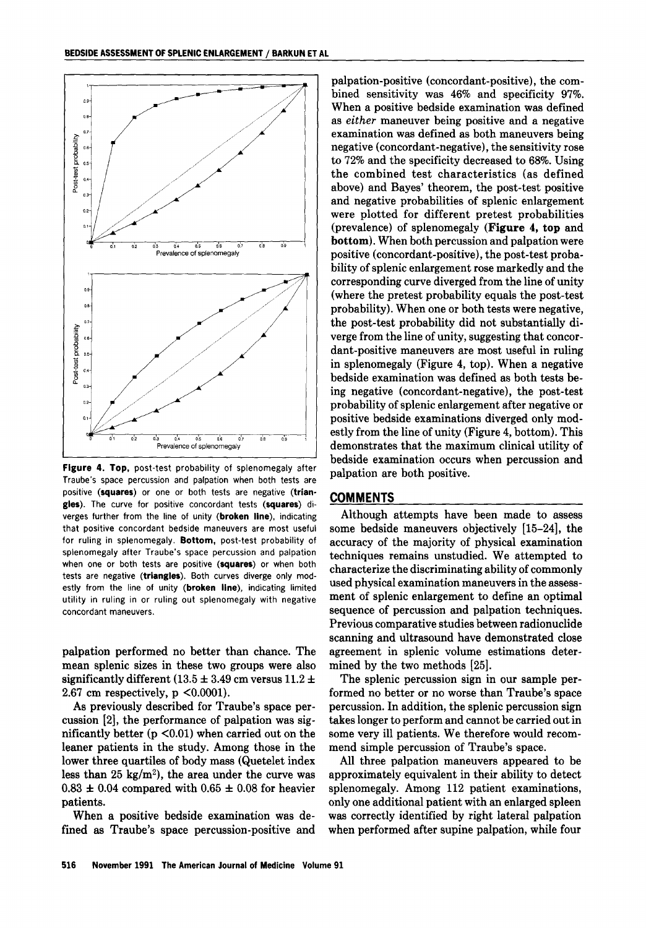

**Figure** 4. Top, post-test probability of splenomegaly after Traube's space percussion and palpation when both tests are positive (squares) or one or both tests are negative **(trian**gles). The curve for positive concordant tests (squares) diverges further from the line of unity (broken line), indicating that positive concordant bedside maneuvers are most useful for ruling in splenomegaly. Bottom, post-test probability of splenomegaly after Traube's space percussion and palpation when one or both tests are positive (squares) or when both tests are negative (triangles). Both curves diverge only modestly from the line of unity (broken line), indicating limited utility in ruling in or ruling out splenomegaly with negative concordant maneuvers,

palpation performed no better than chance. The mean splenic sizes in these two groups were also significantly different (13.5  $\pm$  3.49 cm versus 11.2  $\pm$ 2.67 cm respectively,  $p \leq 0.0001$ .

As previously described for Traube's space percussion [2], the performance of palpation was significantly better  $(p \le 0.01)$  when carried out on the leaner patients in the study. Among those in the lower three quartiles of body mass (Quetelet index less than 25 kg/m<sup>2</sup>), the area under the curve was  $0.83 \pm 0.04$  compared with  $0.65 \pm 0.08$  for heavier patients.

When a positive bedside examination was defined as Traube's space percussion-positive and

palpation-positive (concordant-positive), the combined sensitivity was 46% and specificity 97%. When a positive bedside examination was defined as *either* maneuver being positive and a negative examination was defined as both maneuvers being negative (concordant-negative), the sensitivity rose to 72% and the specificity decreased to 68%. Using the combined test characteristics (as defined above) and Bayes' theorem, the post-test positive and negative probabilities of splenic enlargement were plotted for different pretest probabilities (prevalence) of splenomegaly (Figure 4, top and **bottom).** When both percussion and palpation were positive (concordant-positive), the post-test probability of splenic enlargement rose markedly and the corresponding curve diverged from the line of unity (where the pretest probability equals the post-test probability). When one or both tests were negative, the post-test probability did not substantially diverge from the line of unity, suggesting that concordant-positive maneuvers are most useful in ruling in splenomegaly (Figure 4, top). When a negative bedside examination was defined as both tests being negative (concordant-negative), the post-test probability of splenic enlargement after negative or positive bedside examinations diverged only modestly from the line of unity (Figure 4, bottom). This demonstrates that the maximum clinical utility of bedside examination occurs when percussion and palpation are both positive.

# **COMMENTS**

Although attempts have been made to assess some bedside maneuvers objectively [15-24], the accuracy of the majority of physical examination techniques remains unstudied. We attempted to characterize the discriminating ability of commonly used physical examination maneuvers in the assessment of splenic enlargement to define an optimal sequence of percussion and palpation techniques. Previous comparative studies between radionuclide scanning and ultrasound have demonstrated close agreement in splenic volume estimations determined by the two methods [25].

The splenic percussion sign in our sample performed no better or no worse than Traube's space percussion. In addition, the splenic percussion sign takes longer to perform and cannot be carried out in some very ill patients. We therefore would recommend simple percussion of Traube's space.

All three palpation maneuvers appeared to be approximately equivalent in their ability to detect splenomegaly. Among 112 patient examinations, only one additional patient with an enlarged spleen was correctly identified by right lateral palpation when performed after supine palpation, while four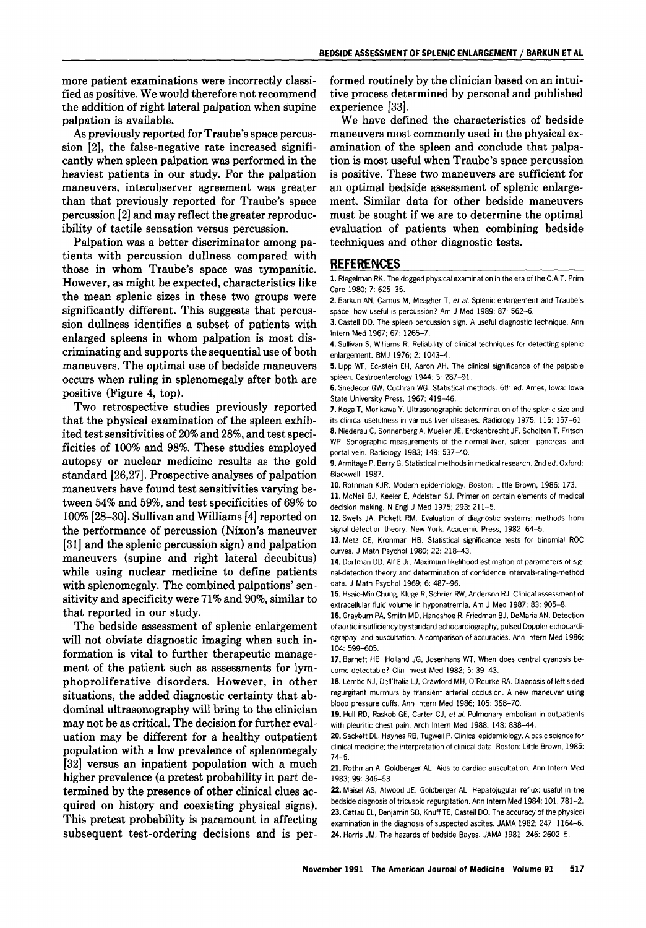more patient examinations were incorrectly classified as positive. We would therefore not recommend the addition of right lateral palpation when supine palpation is available.

As previously reported for Traube's space percussion [2], the false-negative rate increased significantly when spleen palpation was performed in the heaviest patients in our study. For the palpation maneuvers, interobserver agreement was greater than that previously reported for Traube's space percussion [2] and may reflect the greater reproducibility of tactile sensation versus percussion.

Palpation was a better discriminator among patients with percussion dullness compared with those in whom Traube's space was tympanitic. However, as might be expected, characteristics like the mean splenic sizes in these two groups were significantly different. This suggests that percussion dullness identifies a subset of patients with enlarged spleens in whom palpation is most discriminating and supports the sequential use of both maneuvers. The optimal use of bedside maneuvers occurs when ruling in splenomegaly after both are positive (Figure 4, top).

Two retrospective studies previously reported that the physical examination of the spleen exhibited test sensitivities of 20% and 28%, and test specificities of 100% and 98%. These studies employed autopsy or nuclear medicine results as the gold standard [26,27]. Prospective analyses of palpation maneuvers have found test sensitivities varying between 54% and 59%, and test specificities of 69% to 100% [28-30]. Sullivan and Williams [4] reported on the performance of percussion (Nixon's maneuver [31] and the splenic percussion sign) and palpation maneuvers (supine and right lateral decubitus) while using nuclear medicine to define patients with splenomegaly. The combined palpations' sensitivity and specificity were 71% and 90%, similar to that reported in our study.

The bedside assessment of splenic enlargement will not obviate diagnostic imaging when such information is vital to further therapeutic management of the patient such as assessments for lymphoproliferative disorders. However, in other situations, the added diagnostic certainty that abdominal ultrasonography will bring to the clinician may not be as critical. The decision for further evaluation may be different for a healthy outpatient population with a low prevalence of splenomegaly [32] versus an inpatient population with a much higher prevalence (a pretest probability in part determined by the presence of other clinical clues acquired on history and coexisting physical signs). This pretest probability is paramount in affecting subsequent test-ordering decisions and is performed routinely by the clinician based on an intuitive process determined by personal and published experience [33].

We have defined the characteristics of bedside maneuvers most commonly used in the physical examination of the spleen and conclude that palpation is most useful when Traube's space percussion is positive. These two maneuvers are sufficient for an optimal bedside assessment of splenic enlargement. Similar data for other bedside maneuvers must be sought if we are to determine the optimal evaluation of patients when combining bedside techniques and other diagnostic tests.

### **REFERENCES**

1. Riegelman RK. The dogged physical examination in the era of the C.A.T. Prim Care 1980; 7: 625-35.

2. Barkun AN, Camus M, Meagher T, *et al.* Splenic enlargement and Traube's space: how useful is percussion? Am J Med 1989; 87: 562-6.

3. Castell DO. The spleen percussion sign. A useful diagnostic technique. Ann Intern Med 1967; 67: 1265-7.

4, Sullivan S, Williams R. Reliability of clinical techniques for detecting splenic enlargement. BMJ 1976; 2: 1043-4.

5. Lipp WF, Eckstein EH, Aaron AH. The clinical significance of the palpable spleen. Gastroenterology 1944; 3: 287-91.

6. Snedecor GW, Cochran WG. Statistical methods. 6th ed. Ames, Iowa: Iowa State University Press, 1967: 419-46,

7. Koga T, Morikawa Y. Ultrasonographic determination of the splenic size and its clinical usefulness in various liver diseases. Radiology 1975; 115: 157-61. S. Niederau C, Sonnenberg A, Mueller JE, Erckenbrecht JF, Scholten T, Fritsch WP. Sonographic measurements of the normal liver, spleen, pancreas, and portal vein. Radiology 1983; 149: 537-40.

9. Armitage P, Berry G. Statistical methods in medical research. 2nd ed. Oxford: Blackwell, 1987.

10. Rothman KJR. Modern epidemiology. Boston: Little Brown, 1986: 173.

11. McNeil BJ, Keeler E, Adelstein SJ, Primer on certain elements of medical decision making. N Engl J Med 1975; 293: 211-5.

12. Swets JA, Pickett RM. Evaluation of diagnostic systems: methods from signal detection theory. New York: Academic Press, 1982: 64-5.

13. Metz CE, Kronman HB. Statistical significance tests for binomial ROC curves. J Math Psychol 1980; 22: 218-43.

14. Dorfman DD, Alf E Jr. Maximum-likelihood estimation of parameters of signal-detection theory and determination of confidence intervals-rating-method data. J Math Psychol 1969; 6: 487-96.

15. Hsaio-Min Chung, Kluge R, Schrier RW, Anderson RJ. Clinical assessment of extracellular fluid volume in hyponatremia. Am J Med 1987; 83: 905-8.

16. Grayburn PA, Smith MD, Handshoe R, Friedman BJ, DeMaria AN. Detection of aortic insufficiency by standard echocardiography, pulsed Doppler echocardiography, and auscultation, A comparison of accuracies. Ann Intern Med 1986; 104: 599-605.

17. Barnett HB, Holland JG, Josenhans WT. When does central cyanosis become detectable? Clin Invest Med 1982; 5: 39-43.

18. Lembo NJ, Dell'Italia LJ, Crawford MH, O'Rourke RA. Diagnosis of left sided regurgitant murmurs by transient arterial occlusion. A new maneuver using blood pressure cuffs. Ann Intern Med 1986; 105: 368-70.

19. Hull RD, Raskob GE, Carter CJ, et al. Pulmonary embolism in outpatients with pleuritic chest pain. Arch Intern Med 1988; 148: 838-44.

**20.** Sackett DL, Haynes RB, Tugwell P. Clinical epidemiology. A basic science for clinical medicine; the interpretation of clinical data. Boston: Little Brown, 1985: 74-5.

21. Rothman A, Goldberger AL, Aids to cardiac auscultation. Ann Intern Med 1983; 99: 346-53.

**22.** Maisel AS, Atwood JE, Goldberger AL. Hepatojugular reflux: useful in the bedside diagnosis of tricuspid regurgitation. Ann Intern Med 1984; 101: 781-2. 23. Cattau EL, Benjamin SB, Knuff TE, Castell DO. The accuracy of the physical examination in the diagnosis of suspected ascites. JAMA 1982; 247: 1164-6. 24. Harris JM. The hazards of bedside Bayes. JAMA 1981; 246: 2602-5.